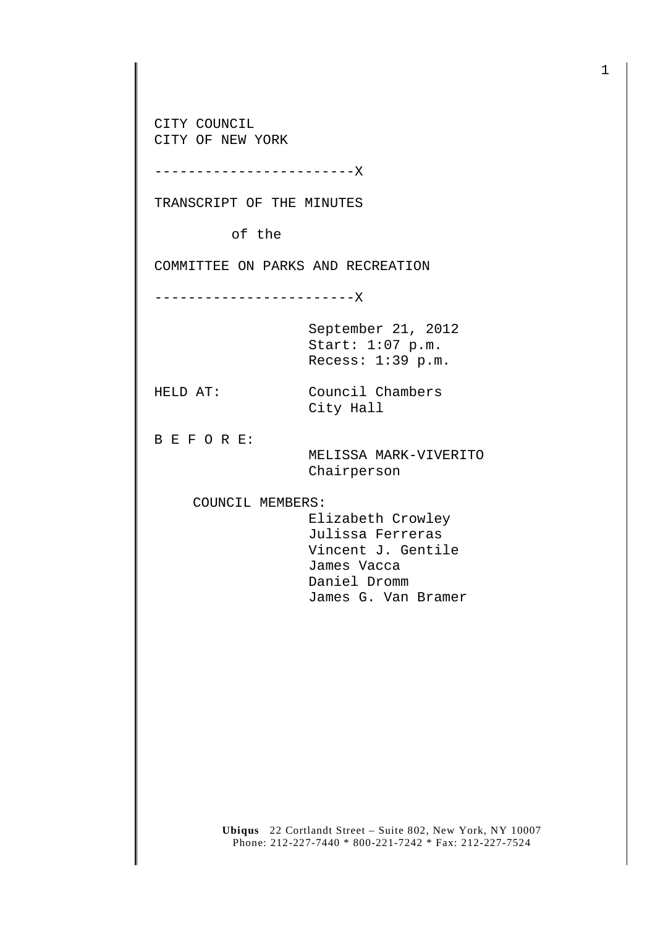CITY COUNCIL CITY OF NEW YORK

------------------------X

TRANSCRIPT OF THE MINUTES

of the

COMMITTEE ON PARKS AND RECREATION

------------------------X

September 21, 2012 Start: 1:07 p.m. Recess: 1:39 p.m.

HELD AT: Council Chambers City Hall

B E F O R E:

 MELISSA MARK-VIVERITO Chairperson

COUNCIL MEMBERS:

 Elizabeth Crowley Julissa Ferreras Vincent J. Gentile James Vacca Daniel Dromm James G. Van Bramer

**Ubiqus** 22 Cortlandt Street – Suite 802, New York, NY 10007 Phone: 212-227-7440 \* 800-221-7242 \* Fax: 212-227-7524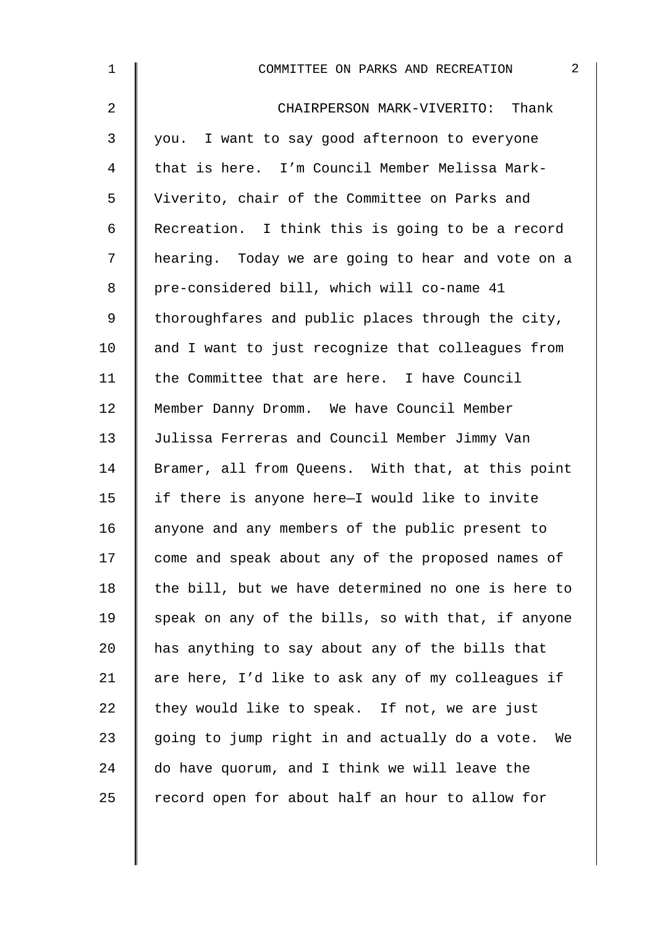| $\mathbf 1$    | $\overline{2}$<br>COMMITTEE ON PARKS AND RECREATION |
|----------------|-----------------------------------------------------|
| $\overline{2}$ | CHAIRPERSON MARK-VIVERITO: Thank                    |
| 3              | you. I want to say good afternoon to everyone       |
| 4              | that is here. I'm Council Member Melissa Mark-      |
| 5              | Viverito, chair of the Committee on Parks and       |
| 6              | Recreation. I think this is going to be a record    |
| 7              | hearing. Today we are going to hear and vote on a   |
| 8              | pre-considered bill, which will co-name 41          |
| 9              | thoroughfares and public places through the city,   |
| 10             | and I want to just recognize that colleagues from   |
| 11             | the Committee that are here. I have Council         |
| 12             | Member Danny Dromm. We have Council Member          |
| 13             | Julissa Ferreras and Council Member Jimmy Van       |
| 14             | Bramer, all from Queens. With that, at this point   |
| 15             | if there is anyone here-I would like to invite      |
| 16             | anyone and any members of the public present to     |
| 17             | come and speak about any of the proposed names of   |
| 18             | the bill, but we have determined no one is here to  |
| 19             | speak on any of the bills, so with that, if anyone  |
| 20             | has anything to say about any of the bills that     |
| 21             | are here, I'd like to ask any of my colleagues if   |
| 22             | they would like to speak. If not, we are just       |
| 23             | going to jump right in and actually do a vote. We   |
| 24             | do have quorum, and I think we will leave the       |
| 25             | record open for about half an hour to allow for     |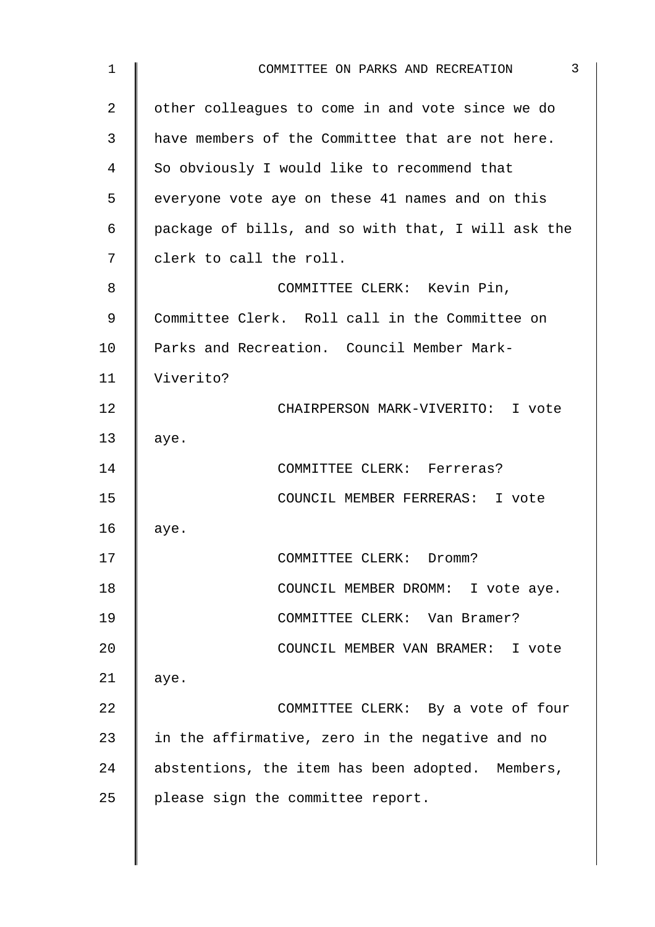| 1              | 3<br>COMMITTEE ON PARKS AND RECREATION             |
|----------------|----------------------------------------------------|
| $\overline{2}$ | other colleagues to come in and vote since we do   |
| 3              | have members of the Committee that are not here.   |
| 4              | So obviously I would like to recommend that        |
| 5              | everyone vote aye on these 41 names and on this    |
| 6              | package of bills, and so with that, I will ask the |
| 7              | clerk to call the roll.                            |
| 8              | COMMITTEE CLERK: Kevin Pin,                        |
| 9              | Committee Clerk. Roll call in the Committee on     |
| 10             | Parks and Recreation. Council Member Mark-         |
| 11             | Viverito?                                          |
| 12             | CHAIRPERSON MARK-VIVERITO: I vote                  |
| 13             | aye.                                               |
| 14             | COMMITTEE CLERK: Ferreras?                         |
| 15             | COUNCIL MEMBER FERRERAS: I vote                    |
| 16             | aye.                                               |
| 17             | COMMITTEE CLERK: Dromm?                            |
| 18             | COUNCIL MEMBER DROMM: I vote aye.                  |
| 19             | COMMITTEE CLERK: Van Bramer?                       |
| 20             | COUNCIL MEMBER VAN BRAMER: I vote                  |
| 21             | aye.                                               |
| 22             | COMMITTEE CLERK: By a vote of four                 |
| 23             | in the affirmative, zero in the negative and no    |
| 24             | abstentions, the item has been adopted. Members,   |
| 25             | please sign the committee report.                  |
|                |                                                    |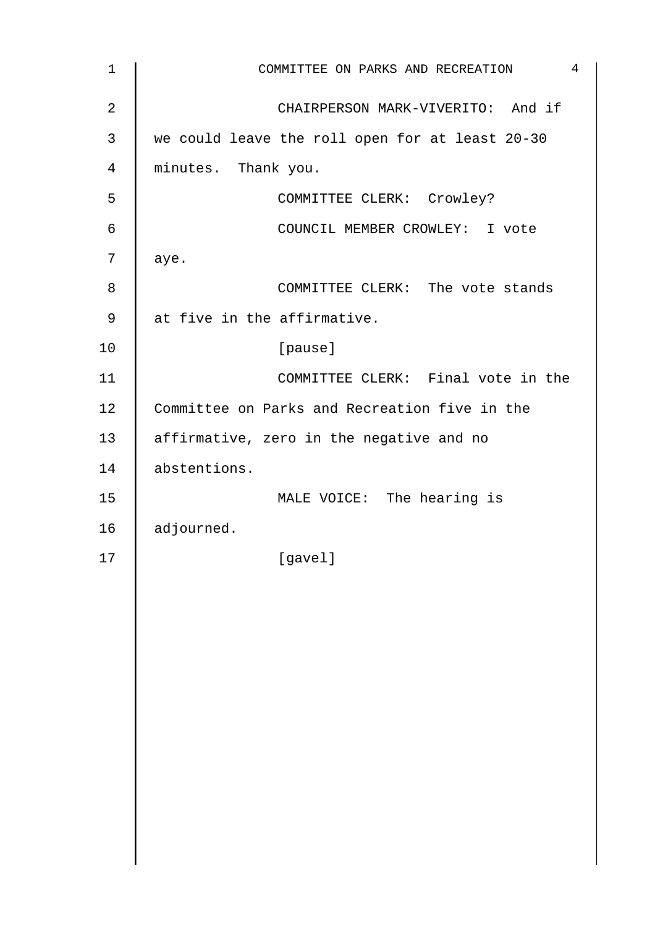| $\mathbf 1$ | 4<br>COMMITTEE ON PARKS AND RECREATION          |
|-------------|-------------------------------------------------|
| 2           | CHAIRPERSON MARK-VIVERITO: And if               |
| 3           | we could leave the roll open for at least 20-30 |
| 4           | minutes. Thank you.                             |
| 5           | COMMITTEE CLERK: Crowley?                       |
| 6           | COUNCIL MEMBER CROWLEY: I vote                  |
| 7           | aye.                                            |
| 8           | COMMITTEE CLERK: The vote stands                |
| 9           | at five in the affirmative.                     |
| 10          | [pause]                                         |
| 11          | COMMITTEE CLERK: Final vote in the              |
| 12          | Committee on Parks and Recreation five in the   |
| 13          | affirmative, zero in the negative and no        |
| 14          | abstentions.                                    |
| 15          | MALE VOICE: The hearing is                      |
| 16          | adjourned.                                      |
| 17          | [gavel]                                         |
|             |                                                 |
|             |                                                 |
|             |                                                 |
|             |                                                 |
|             |                                                 |
|             |                                                 |
|             |                                                 |
|             |                                                 |
|             |                                                 |
|             |                                                 |